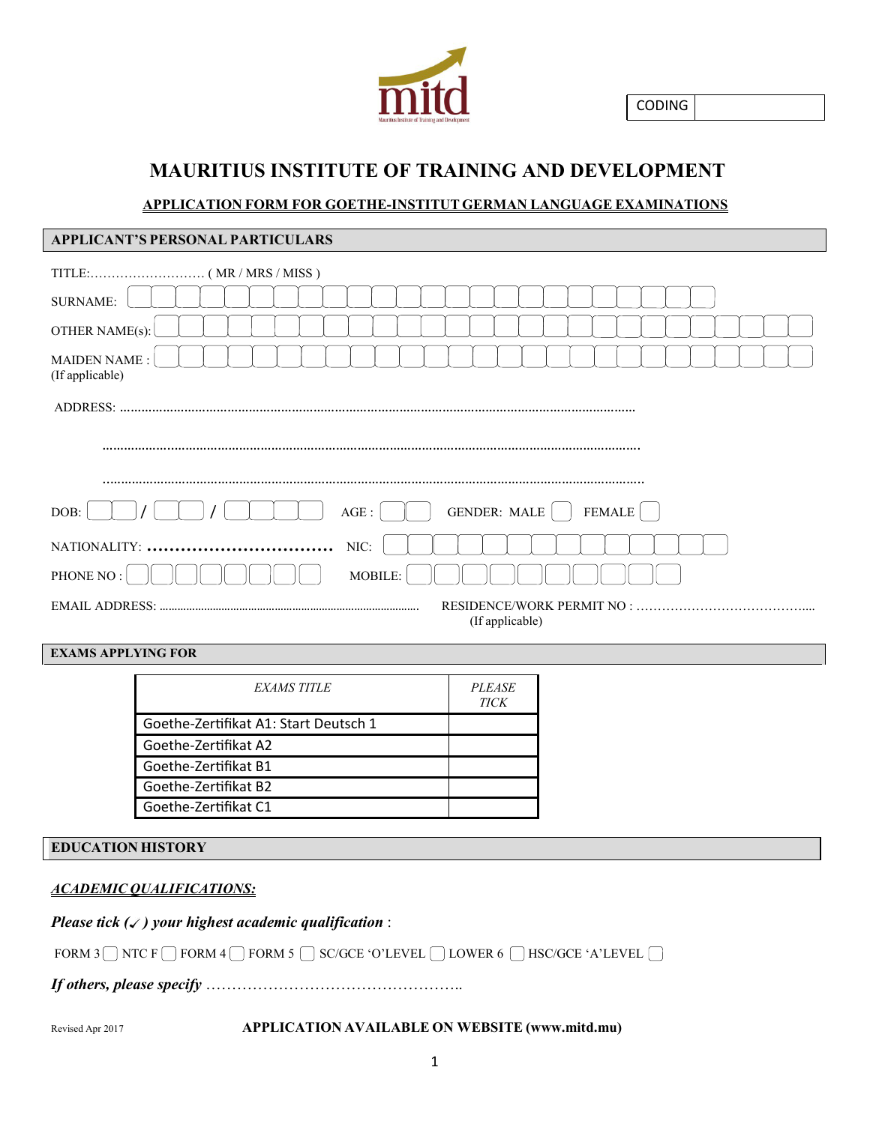

CODING

# **MAURITIUS INSTITUTE OF TRAINING AND DEVELOPMENT**

## **APPLICATION FORM FOR GOETHE-INSTITUT GERMAN LANGUAGE EXAMINATIONS**

| APPLICANT'S PERSONAL PARTICULARS              |  |  |  |  |  |
|-----------------------------------------------|--|--|--|--|--|
|                                               |  |  |  |  |  |
| <b>SURNAME:</b>                               |  |  |  |  |  |
| OTHER NAME(s):                                |  |  |  |  |  |
| <b>MAIDEN NAME:</b><br>(If applicable)        |  |  |  |  |  |
| ADDRESS:                                      |  |  |  |  |  |
|                                               |  |  |  |  |  |
|                                               |  |  |  |  |  |
| <b>GENDER: MALE</b><br>FEMALE<br>DOB:<br>AGE: |  |  |  |  |  |
| NIC:                                          |  |  |  |  |  |
| PHONE NO:<br>MOBILE:                          |  |  |  |  |  |
| RESIDENCE/WORK PERMIT NO :<br>(If applicable) |  |  |  |  |  |

## **EXAMS APPLYING FOR**

| <i>EXAMS TITLE</i>                    | <i>PLEASE</i><br><b>TICK</b> |
|---------------------------------------|------------------------------|
| Goethe-Zertifikat A1: Start Deutsch 1 |                              |
| Goethe-Zertifikat A2                  |                              |
| Goethe-Zertifikat B1                  |                              |
| Goethe-Zertifikat B2                  |                              |
| Goethe-Zertifikat C1                  |                              |

#### **EDUCATION HISTORY**

### *ACADEMIC QUALIFICATIONS:*

*Please tick ( ) your highest academic qualification* :

FORM 3 NTC F RORM 4 RORM 5 SC/GCE 'O'LEVEL DUWER 6 RISC/GCE 'A'LEVEL

*If others, please specify* …………………………………………..

Revised Apr 2017 **APPLICATION AVAILABLE ON WEBSITE (www.mitd.mu)**